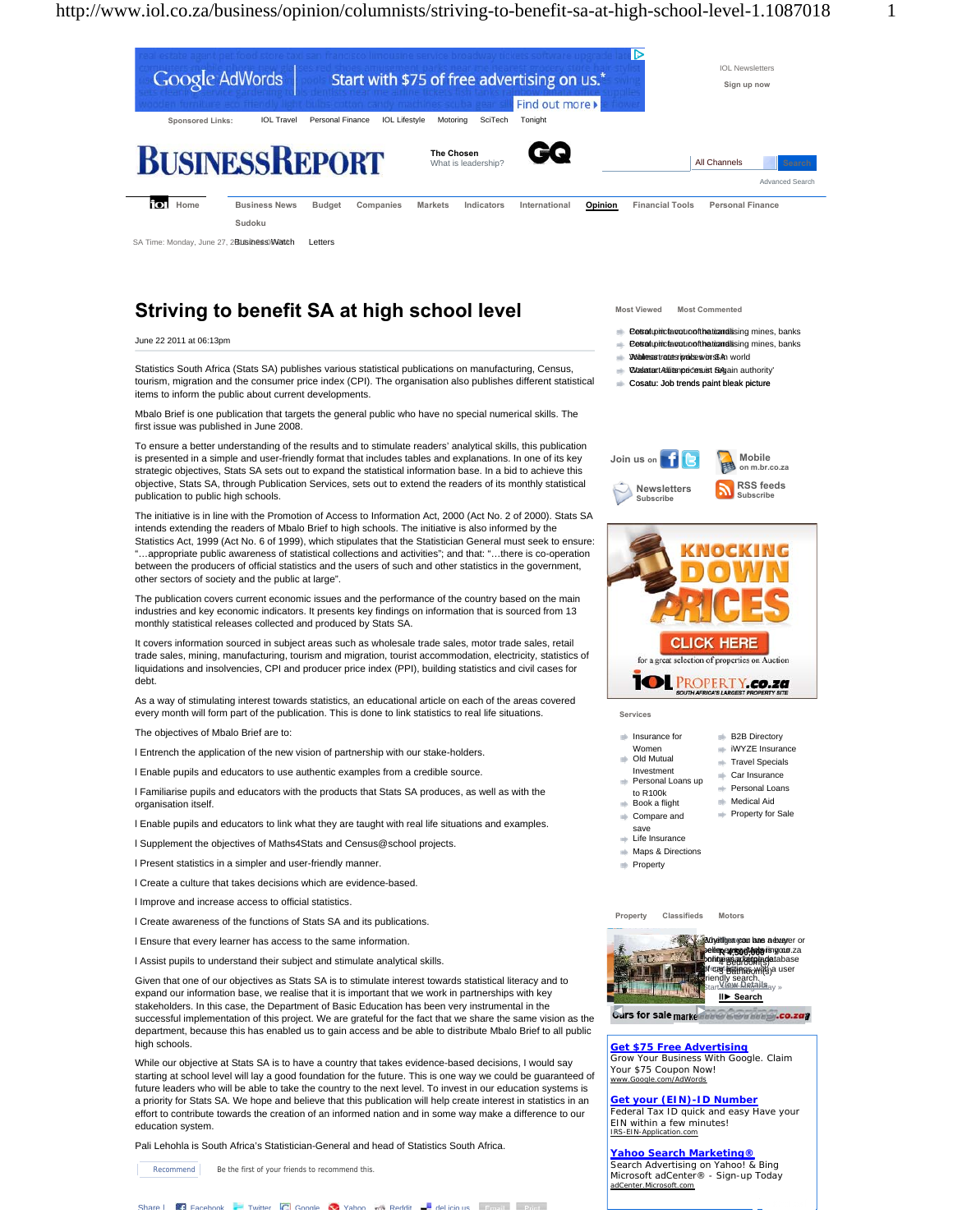

## **Striving to benefit SA at high school level**

June 22 2011 at 06:13pm

Statistics South Africa (Stats SA) publishes various statistical publications on manufacturing, Census, tourism, migration and the consumer price index (CPI). The organisation also publishes different statistical items to inform the public about current developments.

Mbalo Brief is one publication that targets the general public who have no special numerical skills. The first issue was published in June 2008.

To ensure a better understanding of the results and to stimulate readers' analytical skills, this publication is presented in a simple and user-friendly format that includes tables and explanations. In one of its key strategic objectives, Stats SA sets out to expand the statistical information base. In a bid to achieve this objective, Stats SA, through Publication Services, sets out to extend the readers of its monthly statistical publication to public high schools.

The initiative is in line with the Promotion of Access to Information Act, 2000 (Act No. 2 of 2000). Stats SA intends extending the readers of Mbalo Brief to high schools. The initiative is also informed by the Statistics Act, 1999 (Act No. 6 of 1999), which stipulates that the Statistician General must seek to ensure: "…appropriate public awareness of statistical collections and activities"; and that: "…there is co-operation between the producers of official statistics and the users of such and other statistics in the government, other sectors of society and the public at large".

The publication covers current economic issues and the performance of the country based on the main industries and key economic indicators. It presents key findings on information that is sourced from 13 monthly statistical releases collected and produced by Stats SA.

It covers information sourced in subject areas such as wholesale trade sales, motor trade sales, retail trade sales, mining, manufacturing, tourism and migration, tourist accommodation, electricity, statistics of liquidations and insolvencies, CPI and producer price index (PPI), building statistics and civil cases for debt.

As a way of stimulating interest towards statistics, an educational article on each of the areas covered every month will form part of the publication. This is done to link statistics to real life situations.

The objectives of Mbalo Brief are to:

l Entrench the application of the new vision of partnership with our stake-holders.

l Enable pupils and educators to use authentic examples from a credible source.

l Familiarise pupils and educators with the products that Stats SA produces, as well as with the organisation itself.

l Enable pupils and educators to link what they are taught with real life situations and examples.

l Supplement the objectives of Maths4Stats and Census@school projects.

l Present statistics in a simpler and user-friendly manner.

l Create a culture that takes decisions which are evidence-based.

l Improve and increase access to official statistics.

l Create awareness of the functions of Stats SA and its publications.

l Ensure that every learner has access to the same information.

l Assist pupils to understand their subject and stimulate analytical skills.

Given that one of our objectives as Stats SA is to stimulate interest towards statistical literacy and to expand our information base, we realise that it is important that we work in partnerships with key stakeholders. In this case, the Department of Basic Education has been very instrumental in the successful implementation of this project. We are grateful for the fact that we share the same vision as the department, because this has enabled us to gain access and be able to distribute Mbalo Brief to all public high schools.

While our objective at Stats SA is to have a country that takes evidence-based decisions, I would say starting at school level will lay a good foundation for the future. This is one way we could be guaranteed of future leaders who will be able to take the country to the next level. To invest in our education systems is a priority for Stats SA. We hope and believe that this publication will help create interest in statistics in an effort to contribute towards the creation of an informed nation and in some way make a difference to our education system.

Pali Lehohla is South Africa's Statistician-General and head of Statistics South Africa.

Recommend Be the first of your friends to recommend this.



- Petratupincta cuto of the ticandising mines, banks
- Petrat up inclear oto of the ticand ising mines, banks
- Walless trates rival be svors SAn world
- **Wasatart Allianpeces ist Sagain authority'**
- Cosatu: Job trends paint bleak picture





**Services** 

| Insurance for | <b>B2B Directory</b> |
|---------------|----------------------|
| Women         | iWYZE Insurance      |

- Women<br>Old Mutual **Travel Specials**
- Investment Personal Loans up
	- **Personal Loans**
- to R100k  $\Rightarrow$  Book a flight
	- **Medical Aid Property for Sale**

Car Insurance

- Compare and save Life Insurance
- **Maps & Directions**
- **Property** 
	-

**Property Classifieds Motors**



Cars for sale marke and a community .co.zag

**Get \$75 Free Advertising**

Grow Your Business With Google. Claim Your \$75 Coupon Now! www.Google.com/AdWords

**Get your (EIN)-ID Number**

Federal Tax ID quick and easy Have your EIN within a few minutes! IRS-EIN-Application.com

## **Yahoo Search Marketing®**

Search Advertising on Yahoo! & Bing Microsoft adCenter® - Sign-up Today asoft.com